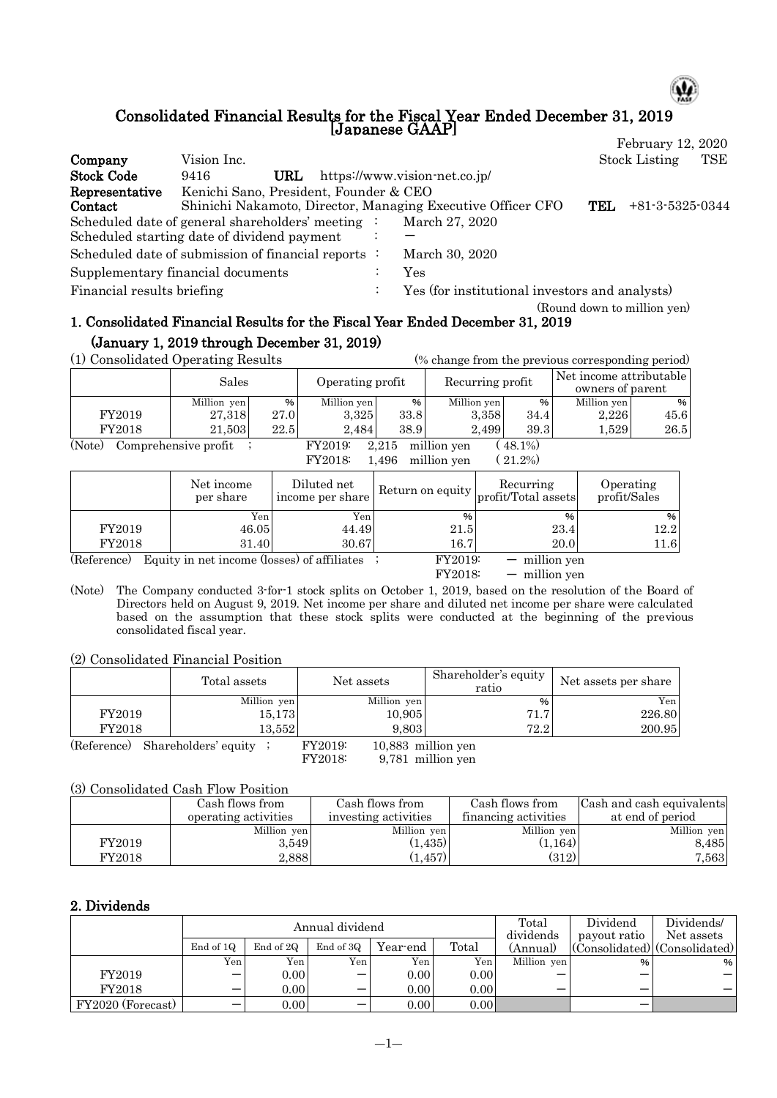### Consolidated Financial Results for the Fiscal Year Ended December 31, 2019 [Japanese GAAP]

|                            |                                                             |         |                                                |     | February 12, 2020           |     |
|----------------------------|-------------------------------------------------------------|---------|------------------------------------------------|-----|-----------------------------|-----|
| Company                    | Vision Inc.                                                 |         |                                                |     | <b>Stock Listing</b>        | TSE |
| <b>Stock Code</b>          | URL<br>9416                                                 |         | https://www.vision-net.co.jp/                  |     |                             |     |
| Representative             | Kenichi Sano, President, Founder & CEO                      |         |                                                |     |                             |     |
| Contact                    | Shinichi Nakamoto, Director, Managing Executive Officer CFO |         |                                                | TEL | $+81-3-5325-0344$           |     |
|                            | Scheduled date of general shareholders' meeting :           |         | March 27, 2020                                 |     |                             |     |
|                            | Scheduled starting date of dividend payment                 |         |                                                |     |                             |     |
|                            | Scheduled date of submission of financial reports :         |         | March 30, 2020                                 |     |                             |     |
|                            | Supplementary financial documents                           |         | Yes                                            |     |                             |     |
| Financial results briefing |                                                             | $\cdot$ | Yes (for institutional investors and analysts) |     |                             |     |
|                            |                                                             |         |                                                |     | (Round down to million yen) |     |

# 1. Consolidated Financial Results for the Fiscal Year Ended December 31, 2019 (January 1, 2019 through December 31, 2019)

(1) Consolidated Operating Results (% change from the previous corresponding period)

| (1) Consolidated Operating Results                                         |             |      | (% change from the previous corresponding period) |      |                  |      |                                             |      |
|----------------------------------------------------------------------------|-------------|------|---------------------------------------------------|------|------------------|------|---------------------------------------------|------|
|                                                                            | Sales       |      | Operating profit                                  |      | Recurring profit |      | Net income attributable<br>owners of parent |      |
|                                                                            |             |      |                                                   |      |                  |      |                                             |      |
|                                                                            | Million yen | %    | Million yen                                       | %    | Million yen      | $\%$ | Million yen                                 | %    |
| FY2019                                                                     | 27.318      | 27.0 | 3.325                                             | 33.8 | 3.358            | 34.4 | 2,226                                       | 45.6 |
| FY2018                                                                     | 21.503      | 22.5 | 38.9<br>39.3<br>2.499<br>$1.529\,$<br>2.484       |      |                  |      |                                             | 26.5 |
| (Note)<br>Comprehensive profit<br>million yen<br>48.1%<br>FY2019:<br>2.215 |             |      |                                                   |      |                  |      |                                             |      |

FY2018: 1,496 million yen ( 21.2%)

|             | Net income<br>per share                       | Diluted net<br>income per share |         | Recurring<br>$\frac{1}{2}$ Return on equity $ $ profit/Total assets | Operating<br>profit/Sales |
|-------------|-----------------------------------------------|---------------------------------|---------|---------------------------------------------------------------------|---------------------------|
|             | Yen                                           | Yen                             | %       | $\%$                                                                | %                         |
| FY2019      | 46.05                                         | 44.49                           | 21.5    | 23.4                                                                | 12.2                      |
| FY2018      | 31.40                                         | 30.67                           | 16.7    | 20.0                                                                | 11.6                      |
| (Reference) | Equity in net income (losses) of affiliates ; |                                 | FY2019: | $-$ million yen                                                     |                           |
|             |                                               |                                 | FY2018: | $-$ million ven                                                     |                           |

(Note) The Company conducted 3-for-1 stock splits on October 1, 2019, based on the resolution of the Board of Directors held on August 9, 2019. Net income per share and diluted net income per share were calculated based on the assumption that these stock splits were conducted at the beginning of the previous consolidated fiscal year.

(2) Consolidated Financial Position

|            | Total assets | Net assets                      | Shareholder's equity<br>ratio | Net assets per share |
|------------|--------------|---------------------------------|-------------------------------|----------------------|
|            | Million yen  | Million yen                     | %                             | Yen                  |
| FY2019     | 15,173       | 10.905                          | 71.7                          | 226.80               |
| FY2018     | 13.552       | 9.803                           | 72.2                          | 200.95               |
| (Poforone) | $\alpha$     | FV9010'<br>$10.883$ million von |                               |                      |

(Reference) Shareholders' equity ; FY2019: 10,883 million yen<br>FY2018: 9,781 million yen

9,781 million yen

## (3) Consolidated Cash Flow Position

|        | Cash flows from<br>operating activities | Cash flows from<br>investing activities | Cash flows from<br>financing activities | Cash and cash equivalents<br>at end of period |
|--------|-----------------------------------------|-----------------------------------------|-----------------------------------------|-----------------------------------------------|
|        | Million yen                             | Million yen                             | Million yen                             | Million yen                                   |
| FY2019 | 3.549                                   | (1, 435)                                | (1, 164)                                | 8.485                                         |
| FY2018 | 2.888                                   | $(1,457)^+$                             | (312)                                   | 7,563                                         |

## 2. Dividends

|                   |           |           | Annual dividend | Total    | Dividend | Dividends/            |              |                                                         |
|-------------------|-----------|-----------|-----------------|----------|----------|-----------------------|--------------|---------------------------------------------------------|
|                   | End of 1Q | End of 2Q | End of 3Q       | Year-end | Total    | dividends<br>(Annual) | payout ratio | Net assets<br>$ $ (Consolidated) $ $ (Consolidated) $ $ |
|                   | Yen.      | Yen       | Yen:            | Yen      | Yen      | Million yen           | $\%$         | %                                                       |
| FY2019            | –         | 0.00      | -               | 0.00     | 0.00     |                       | –            |                                                         |
| FY2018            | –         | 0.00      |                 | 0.00     | 0.00     |                       | -            |                                                         |
| FY2020 (Forecast) | -         | 0.00      |                 | 0.00     | 0.00     |                       | -            |                                                         |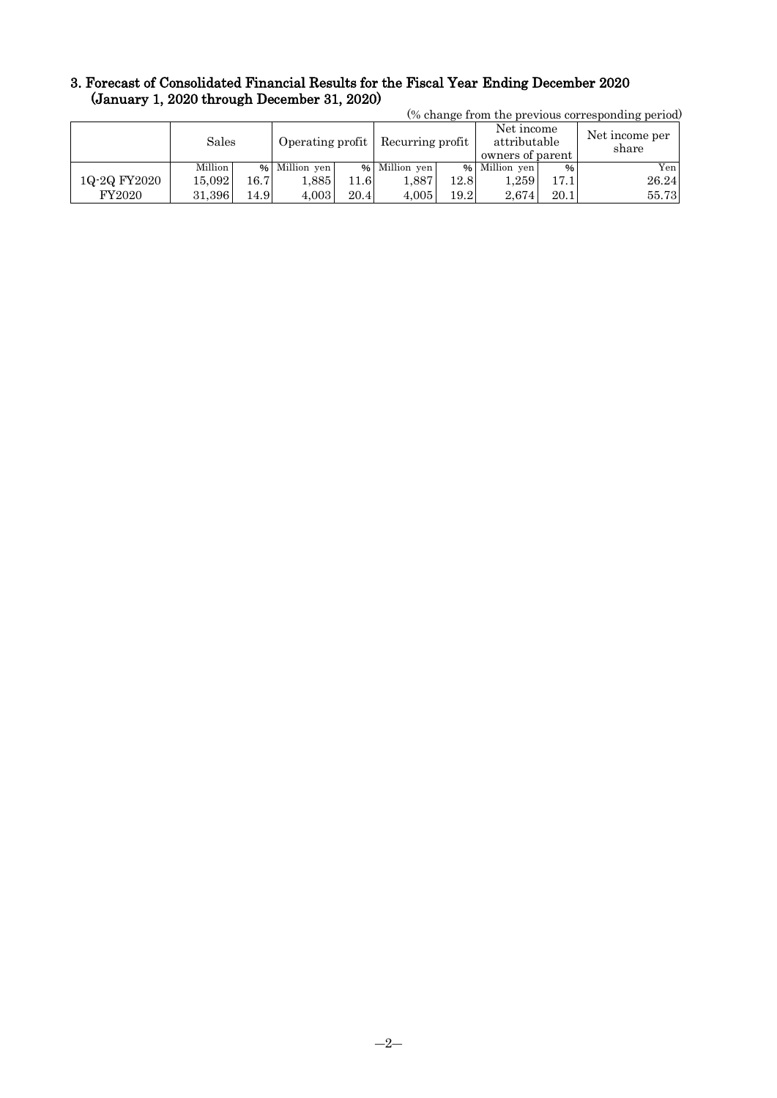#### 3. Forecast of Consolidated Financial Results for the Fiscal Year Ending December 2020 (January 1, 2020 through December 31, 2020) (% change from the previous corresponding period)

| (% change from the previous corresponding period) |         |      |                  |      |                  |      |                                                |      |                         |  |
|---------------------------------------------------|---------|------|------------------|------|------------------|------|------------------------------------------------|------|-------------------------|--|
|                                                   | Sales   |      | Operating profit |      | Recurring profit |      | Net income<br>attributable<br>owners of parent |      | Net income per<br>share |  |
|                                                   | Million |      | % Million yen    |      | % Million yen    |      | % Million yen                                  | %    | Yen                     |  |
| 1Q-2Q FY2020                                      | 15.092  | 16.7 | 1,885            | 1.6  | 1.887            | 12.8 | $1.259$ .                                      | 17.1 | 26.24                   |  |
| FY2020                                            | 31.396  | 14.9 | 4.003            | 20.4 | 4.005            | 19.2 | 2.674                                          | 20.1 | 55.73                   |  |